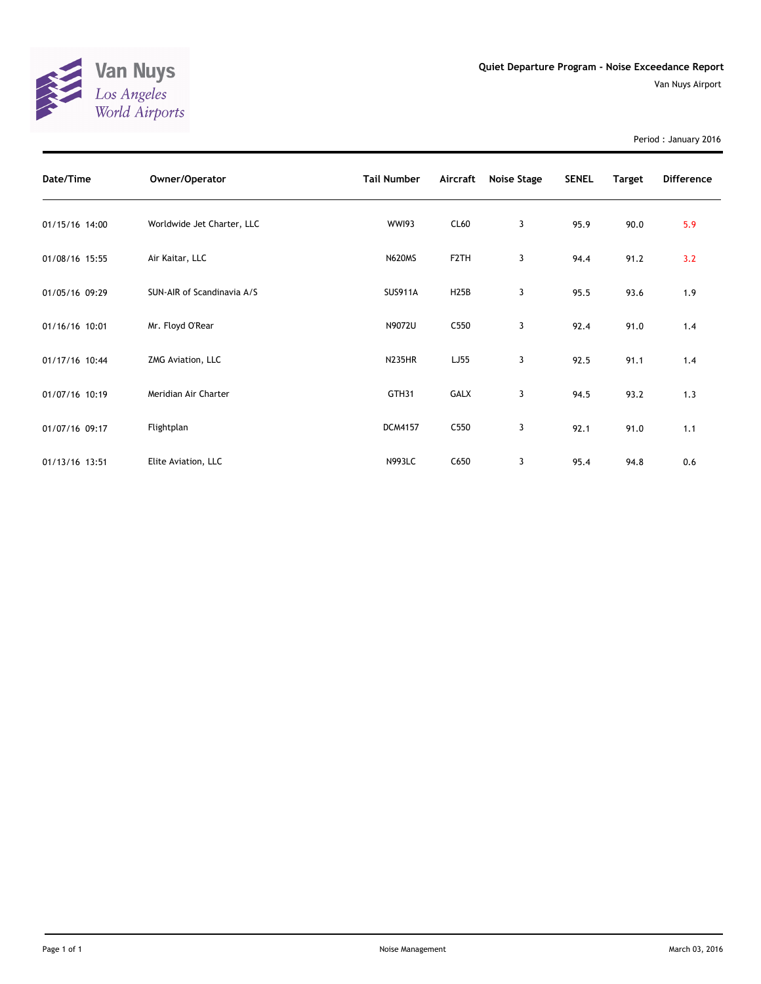

Period : January 2016

| Date/Time      | Owner/Operator             | <b>Tail Number</b> | Aircraft          | Noise Stage | <b>SENEL</b> | Target | <b>Difference</b> |
|----------------|----------------------------|--------------------|-------------------|-------------|--------------|--------|-------------------|
| 01/15/16 14:00 | Worldwide Jet Charter, LLC | <b>WWI93</b>       | CL60              | 3           | 95.9         | 90.0   | 5.9               |
| 01/08/16 15:55 | Air Kaitar, LLC            | <b>N620MS</b>      | F <sub>2</sub> TH | 3           | 94.4         | 91.2   | 3.2               |
| 01/05/16 09:29 | SUN-AIR of Scandinavia A/S | <b>SUS911A</b>     | H <sub>25</sub> B | 3           | 95.5         | 93.6   | 1.9               |
| 01/16/16 10:01 | Mr. Floyd O'Rear           | N9072U             | C550              | 3           | 92.4         | 91.0   | 1.4               |
| 01/17/16 10:44 | ZMG Aviation, LLC          | <b>N235HR</b>      | LJ55              | 3           | 92.5         | 91.1   | 1.4               |
| 01/07/16 10:19 | Meridian Air Charter       | GTH31              | <b>GALX</b>       | 3           | 94.5         | 93.2   | 1.3               |
| 01/07/16 09:17 | Flightplan                 | <b>DCM4157</b>     | C <sub>550</sub>  | 3           | 92.1         | 91.0   | 1.1               |
| 01/13/16 13:51 | Elite Aviation, LLC        | <b>N993LC</b>      | C650              | 3           | 95.4         | 94.8   | 0.6               |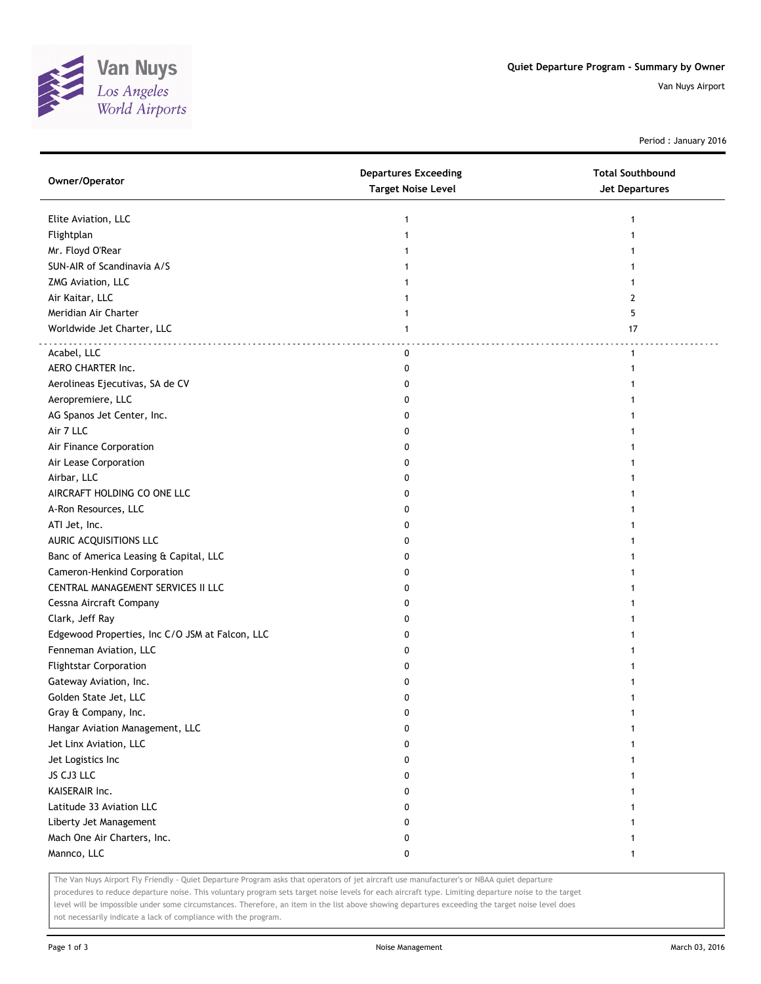

Period : January 2016

| Owner/Operator                                  | <b>Departures Exceeding</b><br><b>Target Noise Level</b> | <b>Total Southbound</b><br><b>Jet Departures</b> |
|-------------------------------------------------|----------------------------------------------------------|--------------------------------------------------|
| Elite Aviation, LLC                             | 1                                                        |                                                  |
| Flightplan                                      |                                                          |                                                  |
| Mr. Floyd O'Rear                                |                                                          |                                                  |
| SUN-AIR of Scandinavia A/S                      |                                                          |                                                  |
| ZMG Aviation, LLC                               |                                                          |                                                  |
| Air Kaitar, LLC                                 |                                                          | 2                                                |
| Meridian Air Charter                            | 1                                                        | 5                                                |
| Worldwide Jet Charter, LLC                      | 1                                                        | 17                                               |
| Acabel, LLC                                     | 0                                                        | $\mathbf{1}$                                     |
| AERO CHARTER Inc.                               | 0                                                        |                                                  |
| Aerolineas Ejecutivas, SA de CV                 | 0                                                        |                                                  |
| Aeropremiere, LLC                               | 0                                                        |                                                  |
| AG Spanos Jet Center, Inc.                      | 0                                                        |                                                  |
| Air 7 LLC                                       | 0                                                        |                                                  |
| Air Finance Corporation                         | 0                                                        |                                                  |
| Air Lease Corporation                           | 0                                                        |                                                  |
| Airbar, LLC                                     | 0                                                        |                                                  |
| AIRCRAFT HOLDING CO ONE LLC                     | 0                                                        |                                                  |
| A-Ron Resources, LLC                            | 0                                                        |                                                  |
| ATI Jet, Inc.                                   | 0                                                        |                                                  |
| AURIC ACQUISITIONS LLC                          | 0                                                        |                                                  |
| Banc of America Leasing & Capital, LLC          | 0                                                        |                                                  |
| Cameron-Henkind Corporation                     | 0                                                        |                                                  |
| CENTRAL MANAGEMENT SERVICES II LLC              | 0                                                        |                                                  |
| Cessna Aircraft Company                         | 0                                                        |                                                  |
| Clark, Jeff Ray                                 | 0                                                        |                                                  |
| Edgewood Properties, Inc C/O JSM at Falcon, LLC | 0                                                        |                                                  |
| Fenneman Aviation, LLC                          | 0                                                        |                                                  |
| <b>Flightstar Corporation</b>                   | 0                                                        |                                                  |
| Gateway Aviation, Inc.                          | 0                                                        |                                                  |
| Golden State Jet, LLC                           | 0                                                        |                                                  |
| Gray & Company, Inc.                            | 0                                                        |                                                  |
| Hangar Aviation Management, LLC                 | 0                                                        | 1                                                |
| Jet Linx Aviation, LLC                          | 0                                                        |                                                  |
| Jet Logistics Inc                               | 0                                                        |                                                  |
| JS CJ3 LLC                                      | 0                                                        |                                                  |
| KAISERAIR Inc.                                  | 0                                                        |                                                  |
| Latitude 33 Aviation LLC                        | 0                                                        |                                                  |
| Liberty Jet Management                          | 0                                                        |                                                  |
| Mach One Air Charters, Inc.                     | 0                                                        |                                                  |
| Mannco, LLC                                     | 0                                                        | 1                                                |

The Van Nuys Airport Fly Friendly - Quiet Departure Program asks that operators of jet aircraft use manufacturer's or NBAA quiet departure

procedures to reduce departure noise. This voluntary program sets target noise levels for each aircraft type. Limiting departure noise to the target level will be impossible under some circumstances. Therefore, an item in the list above showing departures exceeding the target noise level does not necessarily indicate a lack of compliance with the program.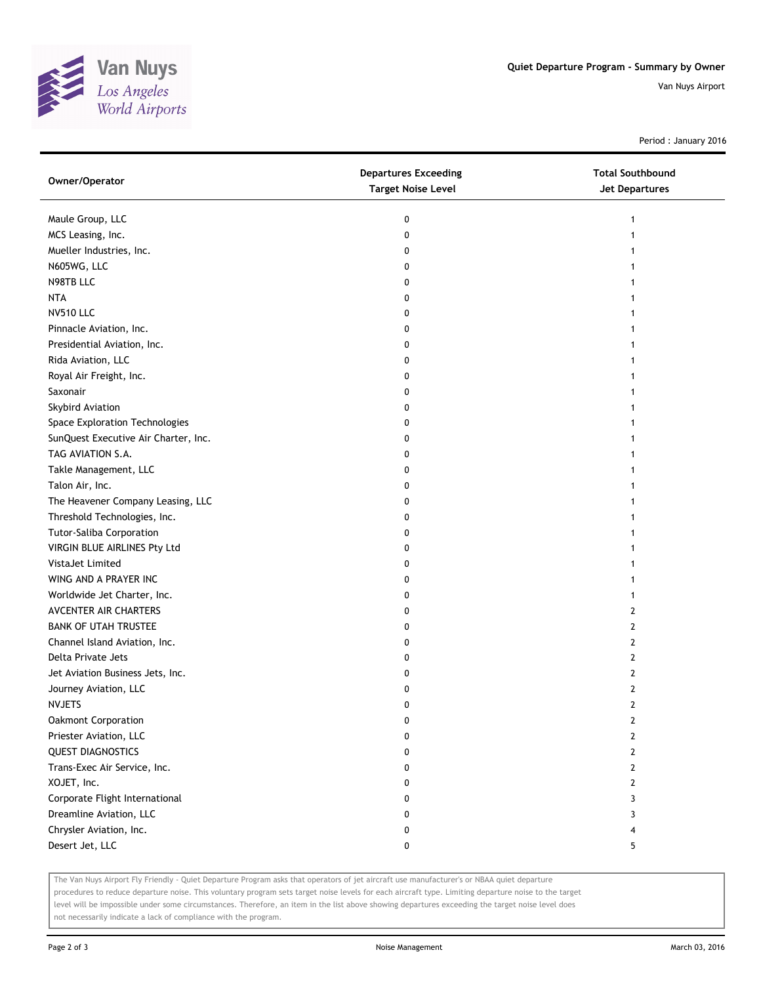

Period : January 2016

| Owner/Operator                       | <b>Departures Exceeding</b><br><b>Target Noise Level</b> | <b>Total Southbound</b><br><b>Jet Departures</b> |
|--------------------------------------|----------------------------------------------------------|--------------------------------------------------|
| Maule Group, LLC                     | 0                                                        | 1                                                |
| MCS Leasing, Inc.                    | 0                                                        | 1                                                |
| Mueller Industries, Inc.             | 0                                                        |                                                  |
| N605WG, LLC                          | 0                                                        |                                                  |
| N98TB LLC                            | 0                                                        |                                                  |
| NTA                                  | 0                                                        | 1                                                |
| <b>NV510 LLC</b>                     | 0                                                        | 1                                                |
| Pinnacle Aviation, Inc.              | 0                                                        | 1                                                |
| Presidential Aviation, Inc.          | 0                                                        |                                                  |
| Rida Aviation, LLC                   | 0                                                        |                                                  |
| Royal Air Freight, Inc.              | 0                                                        |                                                  |
| Saxonair                             | 0                                                        |                                                  |
| Skybird Aviation                     | 0                                                        |                                                  |
| Space Exploration Technologies       | 0                                                        |                                                  |
| SunQuest Executive Air Charter, Inc. | 0                                                        |                                                  |
| TAG AVIATION S.A.                    | 0                                                        | 1                                                |
| Takle Management, LLC                | 0                                                        | 1                                                |
| Talon Air, Inc.                      | 0                                                        | 1                                                |
| The Heavener Company Leasing, LLC    | 0                                                        |                                                  |
| Threshold Technologies, Inc.         | 0                                                        |                                                  |
| Tutor-Saliba Corporation             | 0                                                        |                                                  |
| VIRGIN BLUE AIRLINES Pty Ltd         | 0                                                        |                                                  |
| VistaJet Limited                     | 0                                                        |                                                  |
| WING AND A PRAYER INC                | 0                                                        |                                                  |
| Worldwide Jet Charter, Inc.          | 0                                                        | 1                                                |
| AVCENTER AIR CHARTERS                | 0                                                        | 2                                                |
| <b>BANK OF UTAH TRUSTEE</b>          | 0                                                        | 2                                                |
| Channel Island Aviation, Inc.        | 0                                                        | 2                                                |
| Delta Private Jets                   | 0                                                        | 2                                                |
| Jet Aviation Business Jets, Inc.     | 0                                                        | 2                                                |
| Journey Aviation, LLC                | 0                                                        | 2                                                |
| <b>NVJETS</b>                        | 0                                                        | $\overline{2}$                                   |
| Oakmont Corporation                  | 0                                                        | 2                                                |
| Priester Aviation, LLC               | 0                                                        | 2                                                |
| <b>QUEST DIAGNOSTICS</b>             | 0                                                        | $\mathbf{2}$                                     |
| Trans-Exec Air Service, Inc.         | 0                                                        | $\mathbf{2}$                                     |
| XOJET, Inc.                          | 0                                                        | 2                                                |
| Corporate Flight International       | 0                                                        | 3                                                |
| Dreamline Aviation, LLC              | 0                                                        | 3                                                |
| Chrysler Aviation, Inc.              | 0                                                        | 4                                                |
| Desert Jet, LLC                      | 0                                                        | 5                                                |

The Van Nuys Airport Fly Friendly - Quiet Departure Program asks that operators of jet aircraft use manufacturer's or NBAA quiet departure

procedures to reduce departure noise. This voluntary program sets target noise levels for each aircraft type. Limiting departure noise to the target level will be impossible under some circumstances. Therefore, an item in the list above showing departures exceeding the target noise level does not necessarily indicate a lack of compliance with the program.